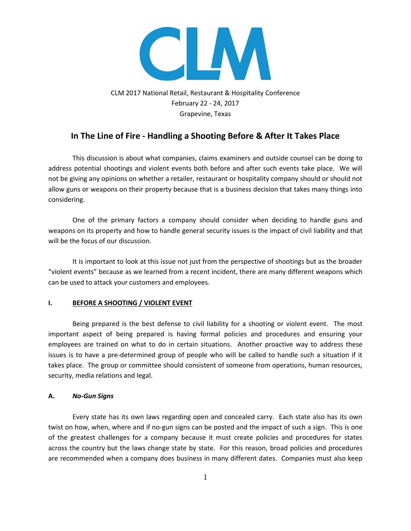

CLM 2017 National Retail, Restaurant & Hospitality Conference February 22 - 24, 2017 Grapevine, Texas

# **In The Line of Fire - Handling a Shooting Before & After It Takes Place**

This discussion is about what companies, claims examiners and outside counsel can be doing to address potential shootings and violent events both before and after such events take place. We will not be giving any opinions on whether a retailer, restaurant or hospitality company should or should not allow guns or weapons on their property because that is a business decision that takes many things into considering.

One of the primary factors a company should consider when deciding to handle guns and weapons on its property and how to handle general security issues is the impact of civil liability and that will be the focus of our discussion.

It is important to look at this issue not just from the perspective of shootings but as the broader "violent events" because as we learned from a recent incident, there are many different weapons which can be used to attack your customers and employees.

### **I. BEFORE A SHOOTING / VIOLENT EVENT**

Being prepared is the best defense to civil liability for a shooting or violent event. The most important aspect of being prepared is having formal policies and procedures and ensuring your employees are trained on what to do in certain situations. Another proactive way to address these issues is to have a pre-determined group of people who will be called to handle such a situation if it takes place. The group or committee should consistent of someone from operations, human resources, security, media relations and legal.

### **A.** *No-Gun Signs*

Every state has its own laws regarding open and concealed carry. Each state also has its own twist on how, when, where and if no-gun signs can be posted and the impact of such a sign. This is one of the greatest challenges for a company because it must create policies and procedures for states across the country but the laws change state by state. For this reason, broad policies and procedures are recommended when a company does business in many different dates. Companies must also keep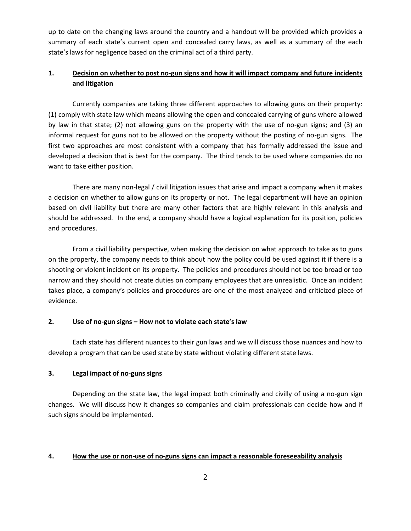up to date on the changing laws around the country and a handout will be provided which provides a summary of each state's current open and concealed carry laws, as well as a summary of the each state's laws for negligence based on the criminal act of a third party.

# **1. Decision on whether to post no-gun signs and how it will impact company and future incidents and litigation**

Currently companies are taking three different approaches to allowing guns on their property: (1) comply with state law which means allowing the open and concealed carrying of guns where allowed by law in that state; (2) not allowing guns on the property with the use of no-gun signs; and (3) an informal request for guns not to be allowed on the property without the posting of no-gun signs. The first two approaches are most consistent with a company that has formally addressed the issue and developed a decision that is best for the company. The third tends to be used where companies do no want to take either position.

There are many non-legal / civil litigation issues that arise and impact a company when it makes a decision on whether to allow guns on its property or not. The legal department will have an opinion based on civil liability but there are many other factors that are highly relevant in this analysis and should be addressed. In the end, a company should have a logical explanation for its position, policies and procedures.

From a civil liability perspective, when making the decision on what approach to take as to guns on the property, the company needs to think about how the policy could be used against it if there is a shooting or violent incident on its property. The policies and procedures should not be too broad or too narrow and they should not create duties on company employees that are unrealistic. Once an incident takes place, a company's policies and procedures are one of the most analyzed and criticized piece of evidence.

### **2. Use of no-gun signs – How not to violate each state's law**

Each state has different nuances to their gun laws and we will discuss those nuances and how to develop a program that can be used state by state without violating different state laws.

### **3. Legal impact of no-guns signs**

Depending on the state law, the legal impact both criminally and civilly of using a no-gun sign changes. We will discuss how it changes so companies and claim professionals can decide how and if such signs should be implemented.

### **4. How the use or non-use of no-guns signs can impact a reasonable foreseeability analysis**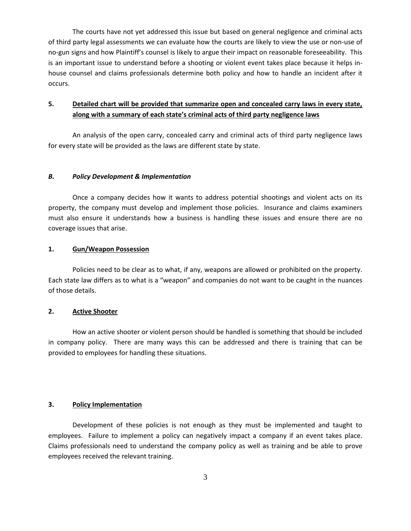The courts have not yet addressed this issue but based on general negligence and criminal acts of third party legal assessments we can evaluate how the courts are likely to view the use or non-use of no-gun signs and how Plaintiff's counsel is likely to argue their impact on reasonable foreseeability. This is an important issue to understand before a shooting or violent event takes place because it helps inhouse counsel and claims professionals determine both policy and how to handle an incident after it occurs.

# **5. Detailed chart will be provided that summarize open and concealed carry laws in every state, along with a summary of each state's criminal acts of third party negligence laws**

An analysis of the open carry, concealed carry and criminal acts of third party negligence laws for every state will be provided as the laws are different state by state.

### *B. Policy Development & Implementation*

Once a company decides how it wants to address potential shootings and violent acts on its property, the company must develop and implement those policies. Insurance and claims examiners must also ensure it understands how a business is handling these issues and ensure there are no coverage issues that arise.

#### **1. Gun/Weapon Possession**

Policies need to be clear as to what, if any, weapons are allowed or prohibited on the property. Each state law differs as to what is a "weapon" and companies do not want to be caught in the nuances of those details.

#### **2. Active Shooter**

How an active shooter or violent person should be handled is something that should be included in company policy. There are many ways this can be addressed and there is training that can be provided to employees for handling these situations.

### **3. Policy Implementation**

Development of these policies is not enough as they must be implemented and taught to employees. Failure to implement a policy can negatively impact a company if an event takes place. Claims professionals need to understand the company policy as well as training and be able to prove employees received the relevant training.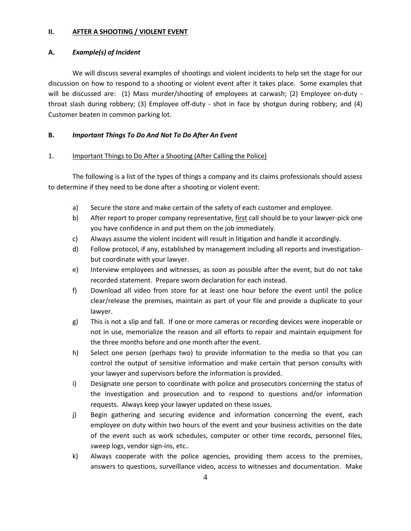#### **II. AFTER A SHOOTING / VIOLENT EVENT**

#### **A.** *Example(s) of Incident*

We will discuss several examples of shootings and violent incidents to help set the stage for our discussion on how to respond to a shooting or violent event after it takes place. Some examples that will be discussed are: (1) Mass murder/shooting of employees at carwash; (2) Employee on-duty throat slash during robbery; (3) Employee off-duty - shot in face by shotgun during robbery; and (4) Customer beaten in common parking lot.

### **B.** *Important Things To Do And Not To Do After An Event*

### 1. Important Things to Do After a Shooting (After Calling the Police)

The following is a list of the types of things a company and its claims professionals should assess to determine if they need to be done after a shooting or violent event:

- a) Secure the store and make certain of the safety of each customer and employee.
- b) After report to proper company representative, first call should be to your lawyer-pick one you have confidence in and put them on the job immediately.
- c) Always assume the violent incident will result in litigation and handle it accordingly.
- d) Follow protocol, if any, established by management including all reports and investigationbut coordinate with your lawyer.
- e) Interview employees and witnesses, as soon as possible after the event, but do not take recorded statement. Prepare sworn declaration for each instead.
- f) Download all video from store for at least one hour before the event until the police clear/release the premises, maintain as part of your file and provide a duplicate to your lawyer.
- g) This is not a slip and fall. If one or more cameras or recording devices were inoperable or not in use, memorialize the reason and all efforts to repair and maintain equipment for the three months before and one month after the event.
- h) Select one person (perhaps two) to provide information to the media so that you can control the output of sensitive information and make certain that person consults with your lawyer and supervisors before the information is provided.
- i) Designate one person to coordinate with police and prosecutors concerning the status of the investigation and prosecution and to respond to questions and/or information requests. Always keep your lawyer updated on these issues.
- j) Begin gathering and securing evidence and information concerning the event, each employee on duty within two hours of the event and your business activities on the date of the event such as work schedules, computer or other time records, personnel files, sweep logs, vendor sign-ins, etc..
- k) Always cooperate with the police agencies, providing them access to the premises, answers to questions, surveillance video, access to witnesses and documentation. Make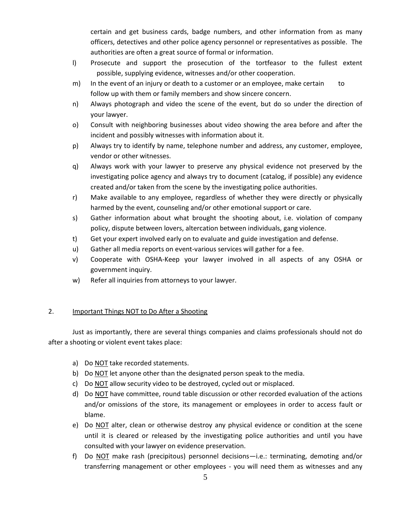certain and get business cards, badge numbers, and other information from as many officers, detectives and other police agency personnel or representatives as possible. The authorities are often a great source of formal or information.

- l) Prosecute and support the prosecution of the tortfeasor to the fullest extent possible, supplying evidence, witnesses and/or other cooperation.
- m) In the event of an injury or death to a customer or an employee, make certain to follow up with them or family members and show sincere concern.
- n) Always photograph and video the scene of the event, but do so under the direction of your lawyer.
- o) Consult with neighboring businesses about video showing the area before and after the incident and possibly witnesses with information about it.
- p) Always try to identify by name, telephone number and address, any customer, employee, vendor or other witnesses.
- q) Always work with your lawyer to preserve any physical evidence not preserved by the investigating police agency and always try to document (catalog, if possible) any evidence created and/or taken from the scene by the investigating police authorities.
- r) Make available to any employee, regardless of whether they were directly or physically harmed by the event, counseling and/or other emotional support or care.
- s) Gather information about what brought the shooting about, i.e. violation of company policy, dispute between lovers, altercation between individuals, gang violence.
- t) Get your expert involved early on to evaluate and guide investigation and defense.
- u) Gather all media reports on event-various services will gather for a fee.
- v) Cooperate with OSHA-Keep your lawyer involved in all aspects of any OSHA or government inquiry.
- w) Refer all inquiries from attorneys to your lawyer.

### 2. Important Things NOT to Do After a Shooting

Just as importantly, there are several things companies and claims professionals should not do after a shooting or violent event takes place:

- a) Do NOT take recorded statements.
- b) Do NOT let anyone other than the designated person speak to the media.
- c) Do NOT allow security video to be destroyed, cycled out or misplaced.
- d) Do NOT have committee, round table discussion or other recorded evaluation of the actions and/or omissions of the store, its management or employees in order to access fault or blame.
- e) Do NOT alter, clean or otherwise destroy any physical evidence or condition at the scene until it is cleared or released by the investigating police authorities and until you have consulted with your lawyer on evidence preservation.
- f) Do NOT make rash (precipitous) personnel decisions—i.e.: terminating, demoting and/or transferring management or other employees - you will need them as witnesses and any